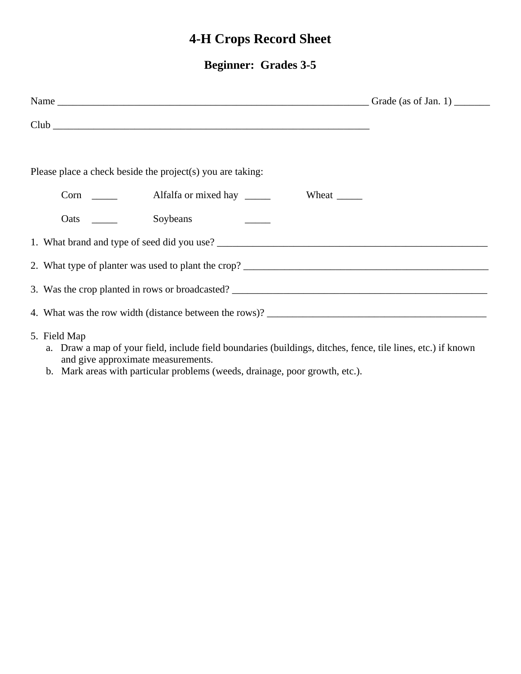# **4-H Crops Record Sheet**

## **Beginner: Grades 3-5**

| Club                                                                                                                         |  |
|------------------------------------------------------------------------------------------------------------------------------|--|
| Please place a check beside the project(s) you are taking:                                                                   |  |
|                                                                                                                              |  |
|                                                                                                                              |  |
|                                                                                                                              |  |
|                                                                                                                              |  |
|                                                                                                                              |  |
|                                                                                                                              |  |
| 5. Field Map<br>a. Draw a map of your field, include field boundaries (buildings, ditches, fence, tile lines, etc.) if known |  |

- and give approximate measurements.
- b. Mark areas with particular problems (weeds, drainage, poor growth, etc.).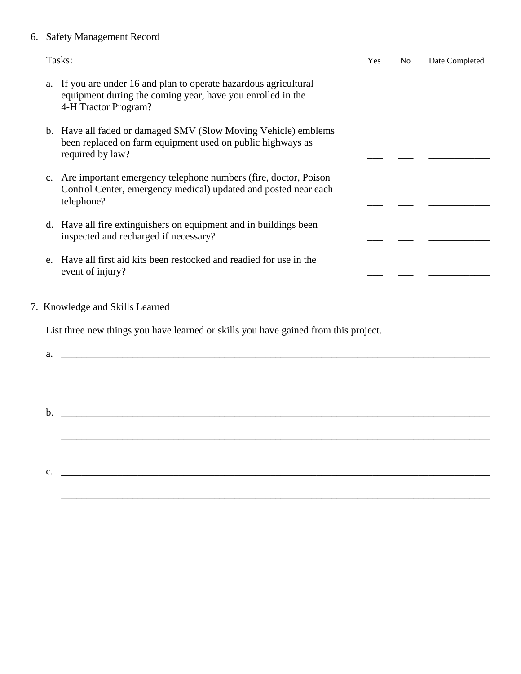#### 6. Safety Management Record

| Tasks:                                                                                                                                                          | <b>Yes</b> | N <sub>0</sub> | Date Completed |
|-----------------------------------------------------------------------------------------------------------------------------------------------------------------|------------|----------------|----------------|
| If you are under 16 and plan to operate hazardous agricultural<br>a.<br>equipment during the coming year, have you enrolled in the<br>4-H Tractor Program?      |            |                |                |
| b. Have all faded or damaged SMV (Slow Moving Vehicle) emblems<br>been replaced on farm equipment used on public highways as<br>required by law?                |            |                |                |
| Are important emergency telephone numbers (fire, doctor, Poison<br>$c_{\cdot}$<br>Control Center, emergency medical) updated and posted near each<br>telephone? |            |                |                |
| d. Have all fire extinguishers on equipment and in buildings been<br>inspected and recharged if necessary?                                                      |            |                |                |
| Have all first aid kits been restocked and readied for use in the<br>e.<br>event of injury?                                                                     |            |                |                |
| 7. Knowledge and Skills Learned                                                                                                                                 |            |                |                |
| List three new things you have learned or skills you have gained from this project.                                                                             |            |                |                |
| a.                                                                                                                                                              |            |                |                |
|                                                                                                                                                                 |            |                |                |
|                                                                                                                                                                 |            |                |                |

b. \_\_\_\_\_\_\_\_\_\_\_\_\_\_\_\_\_\_\_\_\_\_\_\_\_\_\_\_\_\_\_\_\_\_\_\_\_\_\_\_\_\_\_\_\_\_\_\_\_\_\_\_\_\_\_\_\_\_\_\_\_\_\_\_\_\_\_\_\_\_\_\_\_\_\_\_\_\_\_\_\_\_\_\_

\_\_\_\_\_\_\_\_\_\_\_\_\_\_\_\_\_\_\_\_\_\_\_\_\_\_\_\_\_\_\_\_\_\_\_\_\_\_\_\_\_\_\_\_\_\_\_\_\_\_\_\_\_\_\_\_\_\_\_\_\_\_\_\_\_\_\_\_\_\_\_\_\_\_\_\_\_\_\_\_\_\_\_\_

\_\_\_\_\_\_\_\_\_\_\_\_\_\_\_\_\_\_\_\_\_\_\_\_\_\_\_\_\_\_\_\_\_\_\_\_\_\_\_\_\_\_\_\_\_\_\_\_\_\_\_\_\_\_\_\_\_\_\_\_\_\_\_\_\_\_\_\_\_\_\_\_\_\_\_\_\_\_\_\_\_\_\_\_

 $c.$   $\Box$